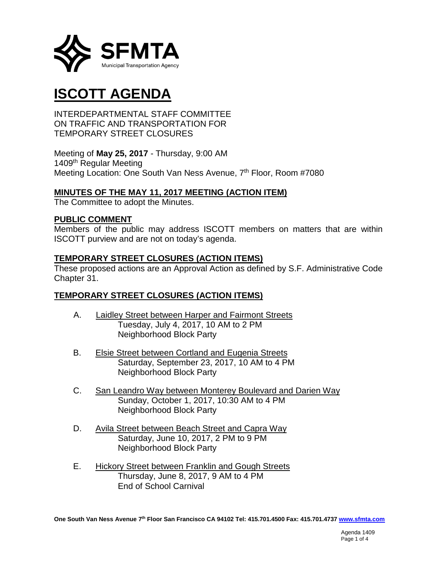

# **ISCOTT AGENDA**

INTERDEPARTMENTAL STAFF COMMITTEE ON TRAFFIC AND TRANSPORTATION FOR TEMPORARY STREET CLOSURES

Meeting of **May 25, 2017** - Thursday, 9:00 AM 1409th Regular Meeting Meeting Location: One South Van Ness Avenue, 7<sup>th</sup> Floor, Room #7080

# **MINUTES OF THE MAY 11, 2017 MEETING (ACTION ITEM)**

The Committee to adopt the Minutes.

## **PUBLIC COMMENT**

Members of the public may address ISCOTT members on matters that are within ISCOTT purview and are not on today's agenda.

## **TEMPORARY STREET CLOSURES (ACTION ITEMS)**

These proposed actions are an Approval Action as defined by S.F. Administrative Code Chapter 31.

# **TEMPORARY STREET CLOSURES (ACTION ITEMS)**

- A. Laidley Street between Harper and Fairmont Streets Tuesday, July 4, 2017, 10 AM to 2 PM Neighborhood Block Party
- B. Elsie Street between Cortland and Eugenia Streets Saturday, September 23, 2017, 10 AM to 4 PM Neighborhood Block Party
- C. San Leandro Way between Monterey Boulevard and Darien Way Sunday, October 1, 2017, 10:30 AM to 4 PM Neighborhood Block Party
- D. Avila Street between Beach Street and Capra Way Saturday, June 10, 2017, 2 PM to 9 PM Neighborhood Block Party
- E. Hickory Street between Franklin and Gough Streets Thursday, June 8, 2017, 9 AM to 4 PM End of School Carnival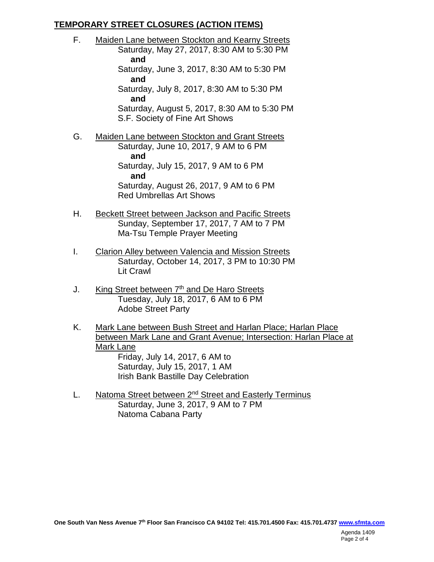# **TEMPORARY STREET CLOSURES (ACTION ITEMS)**

- F. Maiden Lane between Stockton and Kearny Streets Saturday, May 27, 2017, 8:30 AM to 5:30 PM **and** Saturday, June 3, 2017, 8:30 AM to 5:30 PM **and** Saturday, July 8, 2017, 8:30 AM to 5:30 PM **and** Saturday, August 5, 2017, 8:30 AM to 5:30 PM S.F. Society of Fine Art Shows
- G. Maiden Lane between Stockton and Grant Streets Saturday, June 10, 2017, 9 AM to 6 PM **and** Saturday, July 15, 2017, 9 AM to 6 PM **and** Saturday, August 26, 2017, 9 AM to 6 PM Red Umbrellas Art Shows
- H. Beckett Street between Jackson and Pacific Streets Sunday, September 17, 2017, 7 AM to 7 PM Ma-Tsu Temple Prayer Meeting
- I. Clarion Alley between Valencia and Mission Streets Saturday, October 14, 2017, 3 PM to 10:30 PM Lit Crawl
- J. King Street between  $7<sup>th</sup>$  and De Haro Streets Tuesday, July 18, 2017, 6 AM to 6 PM Adobe Street Party
- K. Mark Lane between Bush Street and Harlan Place; Harlan Place between Mark Lane and Grant Avenue; Intersection: Harlan Place at Mark Lane Friday, July 14, 2017, 6 AM to Saturday, July 15, 2017, 1 AM Irish Bank Bastille Day Celebration
- L. Natoma Street between 2<sup>nd</sup> Street and Easterly Terminus Saturday, June 3, 2017, 9 AM to 7 PM Natoma Cabana Party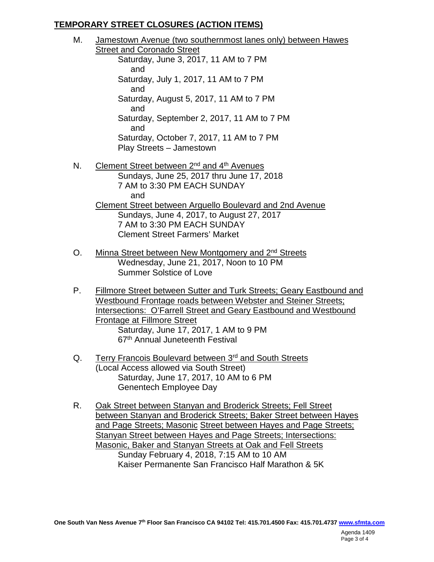# **TEMPORARY STREET CLOSURES (ACTION ITEMS)**

- M. Jamestown Avenue (two southernmost lanes only) between Hawes Street and Coronado Street Saturday, June 3, 2017, 11 AM to 7 PM and Saturday, July 1, 2017, 11 AM to 7 PM and Saturday, August 5, 2017, 11 AM to 7 PM and Saturday, September 2, 2017, 11 AM to 7 PM and Saturday, October 7, 2017, 11 AM to 7 PM Play Streets – Jamestown N. Clement Street between  $2^{nd}$  and  $4^{th}$  Avenues Sundays, June 25, 2017 thru June 17, 2018 7 AM to 3:30 PM EACH SUNDAY and Clement Street between Arguello Boulevard and 2nd Avenue Sundays, June 4, 2017, to August 27, 2017
	- 7 AM to 3:30 PM EACH SUNDAY Clement Street Farmers' Market
- O. Minna Street between New Montgomery and 2<sup>nd</sup> Streets Wednesday, June 21, 2017, Noon to 10 PM Summer Solstice of Love
- P. Fillmore Street between Sutter and Turk Streets; Geary Eastbound and Westbound Frontage roads between Webster and Steiner Streets; Intersections: O'Farrell Street and Geary Eastbound and Westbound Frontage at Fillmore Street Saturday, June 17, 2017, 1 AM to 9 PM 67th Annual Juneteenth Festival
- Q. Terry Francois Boulevard between 3<sup>rd</sup> and South Streets (Local Access allowed via South Street) Saturday, June 17, 2017, 10 AM to 6 PM Genentech Employee Day
- R. Oak Street between Stanyan and Broderick Streets; Fell Street between Stanyan and Broderick Streets; Baker Street between Hayes and Page Streets; Masonic Street between Hayes and Page Streets; Stanyan Street between Hayes and Page Streets; Intersections: Masonic, Baker and Stanyan Streets at Oak and Fell Streets Sunday February 4, 2018, 7:15 AM to 10 AM Kaiser Permanente San Francisco Half Marathon & 5K